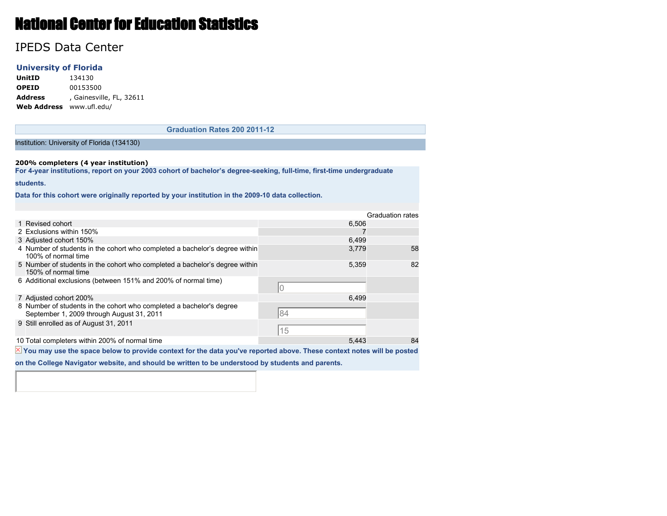# National Center for Education Statistics

# IPEDS Data Center

### **University of Florida**

**UnitID** 134130 **OPEID** 00153500 **Address** , Gainesville, FL, 32611 **Web Address** www.ufl.edu/

**Graduation Rates 200 2011-12**

#### Institution: University of Florida (134130)

#### **200% completers (4 year institution)**

**For 4-year institutions, report on your 2003 cohort of bachelor's degree-seeking, full-time, first-time undergraduate**

#### **students.**

**Data for this cohort were originally reported by your institution in the 2009-10 data collection.**

|  |                                                                                                                   |       | <b>Graduation rates</b> |  |
|--|-------------------------------------------------------------------------------------------------------------------|-------|-------------------------|--|
|  | 1 Revised cohort                                                                                                  | 6,506 |                         |  |
|  | 2 Exclusions within 150%                                                                                          |       |                         |  |
|  | 3 Adjusted cohort 150%                                                                                            | 6,499 |                         |  |
|  | 4 Number of students in the cohort who completed a bachelor's degree within<br>100% of normal time                | 3,779 | 58                      |  |
|  | 5 Number of students in the cohort who completed a bachelor's degree within<br>150% of normal time                | 5,359 | 82                      |  |
|  | 6 Additional exclusions (between 151% and 200% of normal time)                                                    |       |                         |  |
|  | 7 Adjusted cohort 200%                                                                                            | 6.499 |                         |  |
|  | 8 Number of students in the cohort who completed a bachelor's degree<br>September 1, 2009 through August 31, 2011 | 84    |                         |  |
|  | 9 Still enrolled as of August 31, 2011                                                                            | 15    |                         |  |
|  | 10 Total completers within 200% of normal time                                                                    | 5.443 | 84                      |  |
|  |                                                                                                                   |       |                         |  |

 $\overline{\mathbb{X}}$  You may use the space below to provide context for the data you've reported above. These context notes will be posted

**on the College Navigator website, and should be written to be understood by students and parents.**